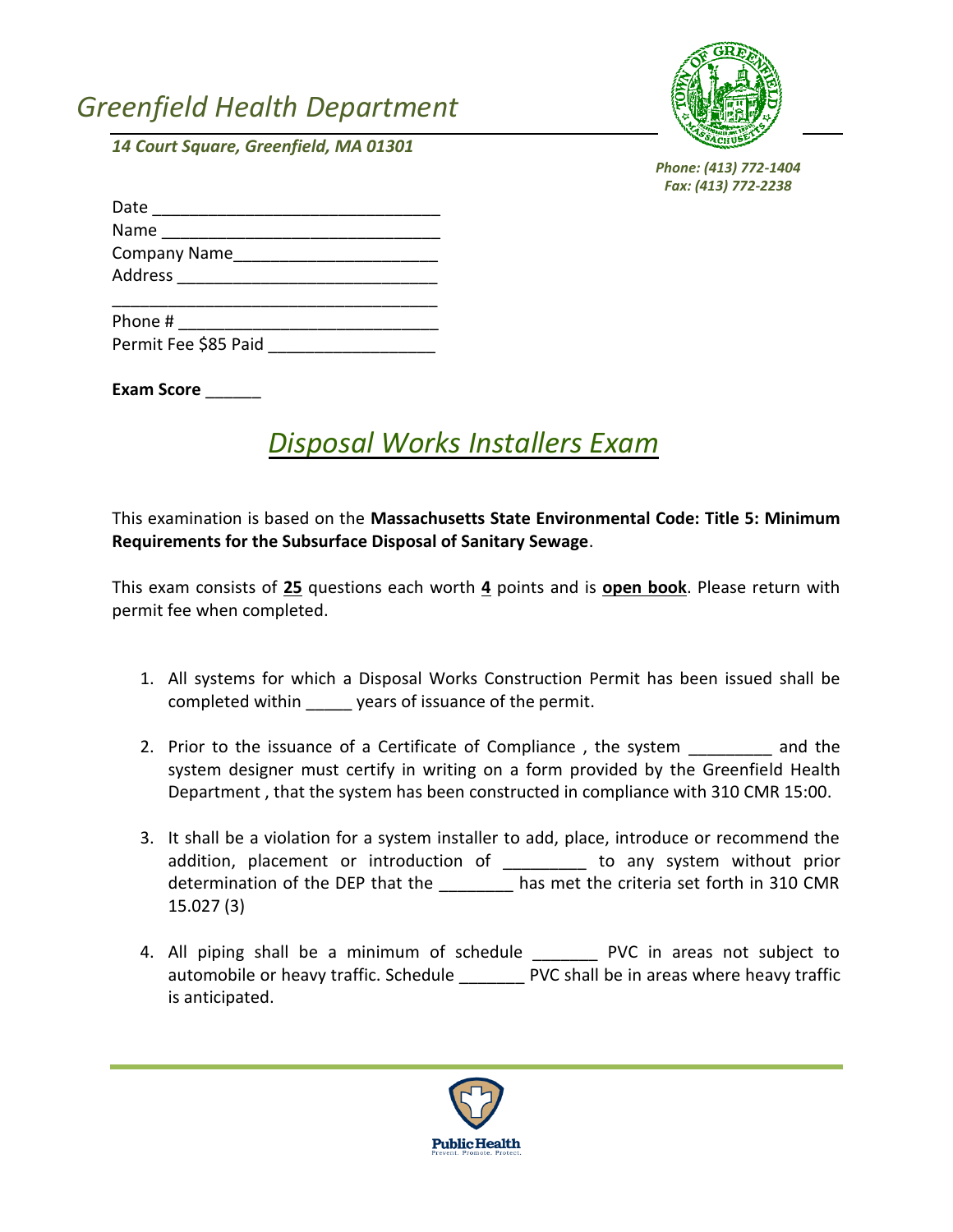



*14 Court Square, Greenfield, MA 01301*

*Phone: (413) 772-1404 Fax: (413) 772-2238*

| Date                 |  |
|----------------------|--|
| Name                 |  |
| <b>Company Name</b>  |  |
| Address              |  |
| Phone #              |  |
| Permit Fee \$85 Paid |  |

**Exam Score** \_\_\_\_\_\_

## *Disposal Works Installers Exam*

This examination is based on the **Massachusetts State Environmental Code: Title 5: Minimum Requirements for the Subsurface Disposal of Sanitary Sewage**.

This exam consists of **25** questions each worth **4** points and is **open book**. Please return with permit fee when completed.

- 1. All systems for which a Disposal Works Construction Permit has been issued shall be completed within years of issuance of the permit.
- 2. Prior to the issuance of a Certificate of Compliance, the system and the system designer must certify in writing on a form provided by the Greenfield Health Department , that the system has been constructed in compliance with 310 CMR 15:00.
- 3. It shall be a violation for a system installer to add, place, introduce or recommend the addition, placement or introduction of \_\_\_\_\_\_\_\_\_ to any system without prior determination of the DEP that the has met the criteria set forth in 310 CMR 15.027 (3)
- 4. All piping shall be a minimum of schedule \_\_\_\_\_\_\_\_ PVC in areas not subject to automobile or heavy traffic. Schedule \_\_\_\_\_\_\_ PVC shall be in areas where heavy traffic is anticipated.

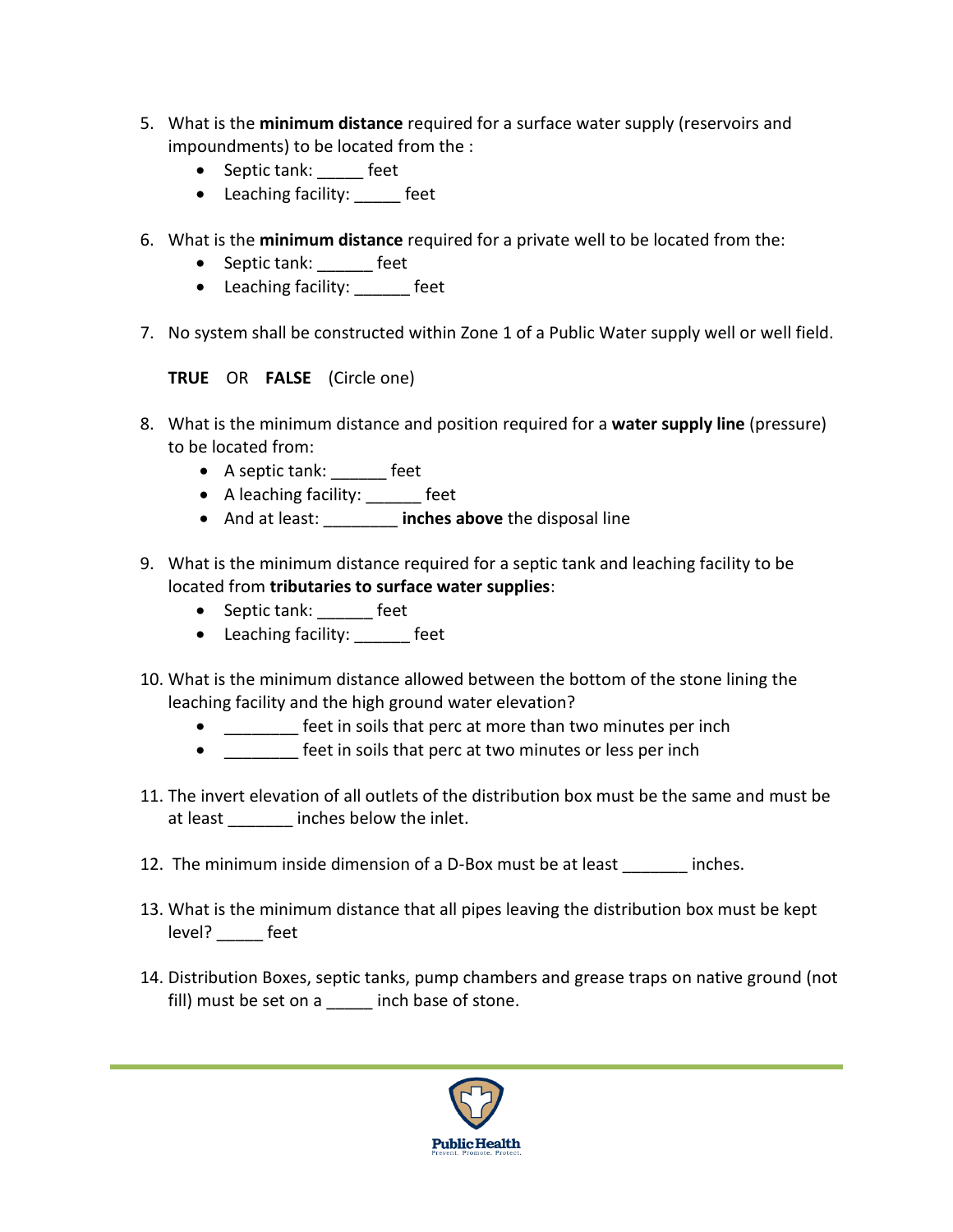- 5. What is the **minimum distance** required for a surface water supply (reservoirs and impoundments) to be located from the :
	- Septic tank: feet
	- Leaching facility: \_\_\_\_\_\_ feet
- 6. What is the **minimum distance** required for a private well to be located from the:
	- Septic tank: feet
	- Leaching facility: \_\_\_\_\_\_ feet
- 7. No system shall be constructed within Zone 1 of a Public Water supply well or well field.

**TRUE** OR **FALSE** (Circle one)

- 8. What is the minimum distance and position required for a **water supply line** (pressure) to be located from:
	- A septic tank: feet
	- A leaching facility: feet
	- And at least: \_\_\_\_\_\_\_\_ **inches above** the disposal line
- 9. What is the minimum distance required for a septic tank and leaching facility to be located from **tributaries to surface water supplies**:
	- Septic tank: feet
	- Leaching facility: feet
- 10. What is the minimum distance allowed between the bottom of the stone lining the leaching facility and the high ground water elevation?
	- **EXECUTE:** feet in soils that perc at more than two minutes per inch
	- \_\_\_\_\_\_\_\_ feet in soils that perc at two minutes or less per inch
- 11. The invert elevation of all outlets of the distribution box must be the same and must be at least \_\_\_\_\_\_\_ inches below the inlet.
- 12. The minimum inside dimension of a D-Box must be at least \_\_\_\_\_\_\_ inches.
- 13. What is the minimum distance that all pipes leaving the distribution box must be kept level? \_\_\_\_\_ feet
- 14. Distribution Boxes, septic tanks, pump chambers and grease traps on native ground (not fill) must be set on a \_\_\_\_\_ inch base of stone.